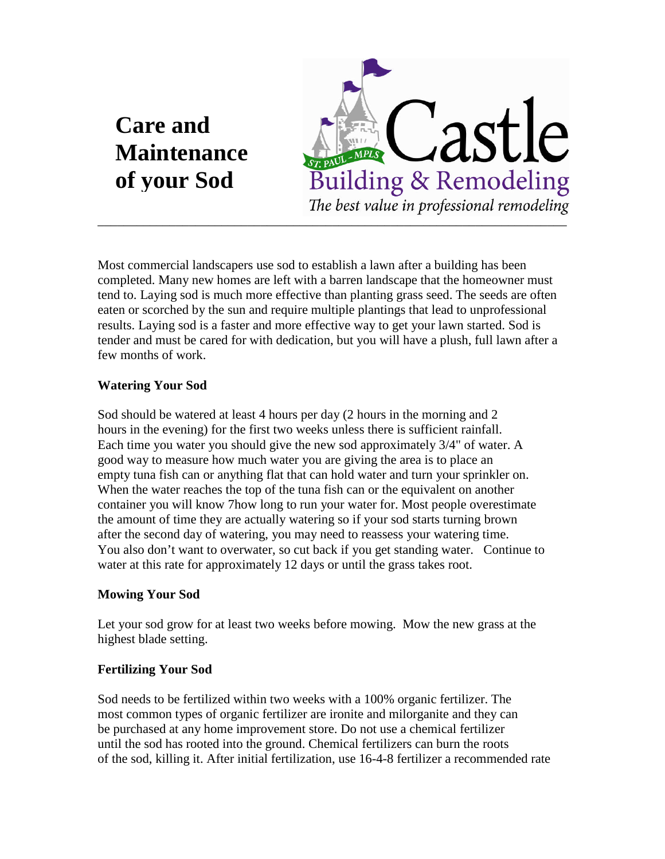# **Care and Maintenance of your Sod**



Most commercial landscapers use sod to establish a lawn after a building has been completed. Many new homes are left with a barren landscape that the homeowner must tend to. Laying sod is much more effective than planting grass seed. The seeds are often eaten or scorched by the sun and require multiple plantings that lead to unprofessional results. Laying sod is a faster and more effective way to get your lawn started. Sod is tender and must be cared for with dedication, but you will have a plush, full lawn after a few months of work.

### **Watering Your Sod**

Sod should be watered at least 4 hours per day (2 hours in the morning and 2 hours in the evening) for the first two weeks unless there is sufficient rainfall. Each time you water you should give the new sod approximately 3/4" of water. A good way to measure how much water you are giving the area is to place an empty tuna fish can or anything flat that can hold water and turn your sprinkler on. When the water reaches the top of the tuna fish can or the equivalent on another container you will know 7how long to run your water for. Most people overestimate the amount of time they are actually watering so if your sod starts turning brown after the second day of watering, you may need to reassess your watering time. You also don't want to overwater, so cut back if you get standing water. Continue to water at this rate for approximately 12 days or until the grass takes root.

### **Mowing Your Sod**

Let your sod grow for at least two weeks before mowing. Mow the new grass at the highest blade setting.

### **Fertilizing Your Sod**

Sod needs to be fertilized within two weeks with a 100% organic fertilizer. The most common types of organic fertilizer are ironite and milorganite and they can be purchased at any home improvement store. Do not use a chemical fertilizer until the sod has rooted into the ground. Chemical fertilizers can burn the roots of the sod, killing it. After initial fertilization, use 16-4-8 fertilizer a recommended rate